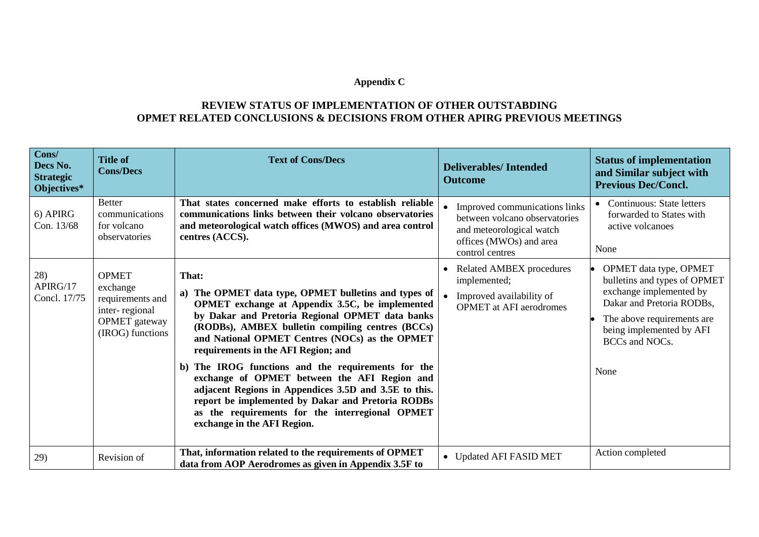## **Appendix C**

## **REVIEW STATUS OF IMPLEMENTATION OF OTHER OUTSTABDING OPMET RELATED CONCLUSIONS & DECISIONS FROM OTHER APIRG PREVIOUS MEETINGS**

| Cons/<br>Decs No.<br><b>Strategic</b><br>Objectives* | <b>Title of</b><br><b>Cons/Decs</b>                                                                        | <b>Text of Cons/Decs</b>                                                                                                                                                                                                                                                                                                                                                                                                                                                                                                                                                                                               | <b>Deliverables/Intended</b><br><b>Outcome</b>                                                                                           | <b>Status of implementation</b><br>and Similar subject with<br><b>Previous Dec/Concl.</b>                                                                                                          |
|------------------------------------------------------|------------------------------------------------------------------------------------------------------------|------------------------------------------------------------------------------------------------------------------------------------------------------------------------------------------------------------------------------------------------------------------------------------------------------------------------------------------------------------------------------------------------------------------------------------------------------------------------------------------------------------------------------------------------------------------------------------------------------------------------|------------------------------------------------------------------------------------------------------------------------------------------|----------------------------------------------------------------------------------------------------------------------------------------------------------------------------------------------------|
| 6) APIRG<br>Con. 13/68                               | <b>Better</b><br>communications<br>for volcano<br>observatories                                            | That states concerned make efforts to establish reliable<br>communications links between their volcano observatories<br>and meteorological watch offices (MWOS) and area control<br>centres (ACCS).                                                                                                                                                                                                                                                                                                                                                                                                                    | Improved communications links<br>between volcano observatories<br>and meteorological watch<br>offices (MWOs) and area<br>control centres | <b>Continuous: State letters</b><br>forwarded to States with<br>active volcanoes<br>None                                                                                                           |
| 28)<br>APIRG/17<br>Concl. 17/75                      | <b>OPMET</b><br>exchange<br>requirements and<br>inter-regional<br><b>OPMET</b> gateway<br>(IROG) functions | That:<br>a) The OPMET data type, OPMET bulletins and types of<br>OPMET exchange at Appendix 3.5C, be implemented<br>by Dakar and Pretoria Regional OPMET data banks<br>(RODBs), AMBEX bulletin compiling centres (BCCs)<br>and National OPMET Centres (NOCs) as the OPMET<br>requirements in the AFI Region; and<br>b) The IROG functions and the requirements for the<br>exchange of OPMET between the AFI Region and<br>adjacent Regions in Appendices 3.5D and 3.5E to this.<br>report be implemented by Dakar and Pretoria RODBs<br>as the requirements for the interregional OPMET<br>exchange in the AFI Region. | <b>Related AMBEX procedures</b><br>implemented;<br>Improved availability of<br><b>OPMET</b> at AFI aerodromes                            | OPMET data type, OPMET<br>bulletins and types of OPMET<br>exchange implemented by<br>Dakar and Pretoria RODBs,<br>The above requirements are<br>being implemented by AFI<br>BCCs and NOCs.<br>None |
| 29)                                                  | Revision of                                                                                                | That, information related to the requirements of OPMET<br>data from AOP Aerodromes as given in Appendix 3.5F to                                                                                                                                                                                                                                                                                                                                                                                                                                                                                                        | • Updated AFI FASID MET                                                                                                                  | Action completed                                                                                                                                                                                   |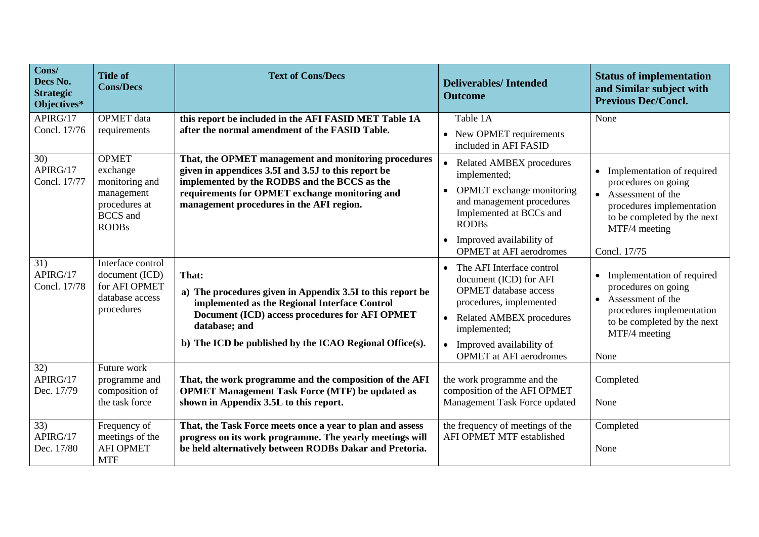| Cons/<br>Decs No.<br><b>Strategic</b><br>Objectives* | <b>Title of</b><br><b>Cons/Decs</b>                                                                          | <b>Text of Cons/Decs</b>                                                                                                                                                                                                                                  | <b>Deliverables/Intended</b><br><b>Outcome</b>                                                                                                                                                                                                            | <b>Status of implementation</b><br>and Similar subject with<br><b>Previous Dec/Concl.</b>                                                                                             |
|------------------------------------------------------|--------------------------------------------------------------------------------------------------------------|-----------------------------------------------------------------------------------------------------------------------------------------------------------------------------------------------------------------------------------------------------------|-----------------------------------------------------------------------------------------------------------------------------------------------------------------------------------------------------------------------------------------------------------|---------------------------------------------------------------------------------------------------------------------------------------------------------------------------------------|
| APIRG/17                                             | <b>OPMET</b> data                                                                                            | this report be included in the AFI FASID MET Table 1A                                                                                                                                                                                                     | Table 1A                                                                                                                                                                                                                                                  | None                                                                                                                                                                                  |
| Concl. 17/76                                         | requirements                                                                                                 | after the normal amendment of the FASID Table.                                                                                                                                                                                                            | • New OPMET requirements<br>included in AFI FASID                                                                                                                                                                                                         |                                                                                                                                                                                       |
| 30)<br>APIRG/17<br>Concl. 17/77                      | <b>OPMET</b><br>exchange<br>monitoring and<br>management<br>procedures at<br><b>BCCS</b> and<br><b>RODBs</b> | That, the OPMET management and monitoring procedures<br>given in appendices 3.5I and 3.5J to this report be<br>implemented by the RODBS and the BCCS as the<br>requirements for OPMET exchange monitoring and<br>management procedures in the AFI region. | <b>Related AMBEX procedures</b><br>$\bullet$<br>implemented;<br>OPMET exchange monitoring<br>$\bullet$<br>and management procedures<br>Implemented at BCCs and<br><b>RODBs</b>                                                                            | • Implementation of required<br>procedures on going<br>• Assessment of the<br>procedures implementation<br>to be completed by the next<br>MTF/4 meeting                               |
|                                                      |                                                                                                              |                                                                                                                                                                                                                                                           | Improved availability of<br><b>OPMET</b> at AFI aerodromes                                                                                                                                                                                                | Concl. 17/75                                                                                                                                                                          |
| 31)<br>APIRG/17<br>Concl. 17/78                      | Interface control<br>document (ICD)<br>for AFI OPMET<br>database access<br>procedures                        | That:<br>a) The procedures given in Appendix 3.5I to this report be<br>implemented as the Regional Interface Control<br>Document (ICD) access procedures for AFI OPMET<br>database; and<br>b) The ICD be published by the ICAO Regional Office(s).        | The AFI Interface control<br>document (ICD) for AFI<br><b>OPMET</b> database access<br>procedures, implemented<br><b>Related AMBEX procedures</b><br>$\bullet$<br>implemented;<br>Improved availability of<br>$\bullet$<br><b>OPMET</b> at AFI aerodromes | Implementation of required<br>$\bullet$<br>procedures on going<br>Assessment of the<br>$\bullet$<br>procedures implementation<br>to be completed by the next<br>MTF/4 meeting<br>None |
| 32)<br>APIRG/17<br>Dec. 17/79                        | Future work<br>programme and<br>composition of<br>the task force                                             | That, the work programme and the composition of the AFI<br><b>OPMET Management Task Force (MTF) be updated as</b><br>shown in Appendix 3.5L to this report.                                                                                               | the work programme and the<br>composition of the AFI OPMET<br>Management Task Force updated                                                                                                                                                               | Completed<br>None                                                                                                                                                                     |
| 33)<br>APIRG/17<br>Dec. 17/80                        | Frequency of<br>meetings of the<br><b>AFI OPMET</b><br><b>MTF</b>                                            | That, the Task Force meets once a year to plan and assess<br>progress on its work programme. The yearly meetings will<br>be held alternatively between RODBs Dakar and Pretoria.                                                                          | the frequency of meetings of the<br>AFI OPMET MTF established                                                                                                                                                                                             | Completed<br>None                                                                                                                                                                     |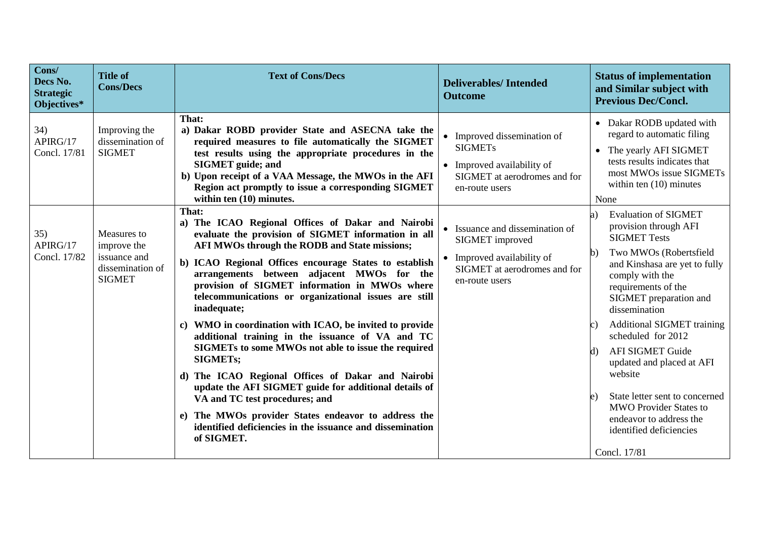| Cons/<br>Decs No.<br><b>Strategic</b><br>Objectives* | <b>Title of</b><br><b>Cons/Decs</b>                                             | <b>Text of Cons/Decs</b>                                                                                                                                                                                                                                                                                                                                                                                                                                                                                                                                                                                                                                                                                                                                                                                                                                                       | <b>Deliverables/Intended</b><br><b>Outcome</b>                                                                                     | <b>Status of implementation</b><br>and Similar subject with<br><b>Previous Dec/Concl.</b>                                                                                                                                                                                                                                                                                                                                                                                                                                      |
|------------------------------------------------------|---------------------------------------------------------------------------------|--------------------------------------------------------------------------------------------------------------------------------------------------------------------------------------------------------------------------------------------------------------------------------------------------------------------------------------------------------------------------------------------------------------------------------------------------------------------------------------------------------------------------------------------------------------------------------------------------------------------------------------------------------------------------------------------------------------------------------------------------------------------------------------------------------------------------------------------------------------------------------|------------------------------------------------------------------------------------------------------------------------------------|--------------------------------------------------------------------------------------------------------------------------------------------------------------------------------------------------------------------------------------------------------------------------------------------------------------------------------------------------------------------------------------------------------------------------------------------------------------------------------------------------------------------------------|
| 34)<br>APIRG/17<br>Concl. 17/81                      | Improving the<br>dissemination of<br><b>SIGMET</b>                              | That:<br>a) Dakar ROBD provider State and ASECNA take the<br>required measures to file automatically the SIGMET<br>test results using the appropriate procedures in the<br><b>SIGMET</b> guide; and<br>b) Upon receipt of a VAA Message, the MWOs in the AFI<br>Region act promptly to issue a corresponding SIGMET<br>within ten $(10)$ minutes.                                                                                                                                                                                                                                                                                                                                                                                                                                                                                                                              | • Improved dissemination of<br><b>SIGMETs</b><br>• Improved availability of<br>SIGMET at aerodromes and for<br>en-route users      | • Dakar RODB updated with<br>regard to automatic filing<br>The yearly AFI SIGMET<br>$\bullet$<br>tests results indicates that<br>most MWOs issue SIGMETs<br>within ten $(10)$ minutes<br>None                                                                                                                                                                                                                                                                                                                                  |
| 35)<br>APIRG/17<br>Concl. 17/82                      | Measures to<br>improve the<br>issuance and<br>dissemination of<br><b>SIGMET</b> | That:<br>a) The ICAO Regional Offices of Dakar and Nairobi<br>evaluate the provision of SIGMET information in all<br>AFI MWOs through the RODB and State missions;<br>b) ICAO Regional Offices encourage States to establish<br>arrangements between adjacent MWOs for the<br>provision of SIGMET information in MWOs where<br>telecommunications or organizational issues are still<br>inadequate;<br>c) WMO in coordination with ICAO, be invited to provide<br>additional training in the issuance of VA and TC<br>SIGMETs to some MWOs not able to issue the required<br><b>SIGMETs;</b><br>d) The ICAO Regional Offices of Dakar and Nairobi<br>update the AFI SIGMET guide for additional details of<br>VA and TC test procedures; and<br>e) The MWOs provider States endeavor to address the<br>identified deficiencies in the issuance and dissemination<br>of SIGMET. | • Issuance and dissemination of<br>SIGMET improved<br>• Improved availability of<br>SIGMET at aerodromes and for<br>en-route users | <b>Evaluation of SIGMET</b><br>a)<br>provision through AFI<br><b>SIGMET Tests</b><br>Two MWOs (Robertsfield<br>$\mathbf{b}$<br>and Kinshasa are yet to fully<br>comply with the<br>requirements of the<br>SIGMET preparation and<br>dissemination<br><b>Additional SIGMET training</b><br>scheduled for 2012<br><b>AFI SIGMET Guide</b><br>d)<br>updated and placed at AFI<br>website<br>State letter sent to concerned<br><b>MWO Provider States to</b><br>endeavor to address the<br>identified deficiencies<br>Concl. 17/81 |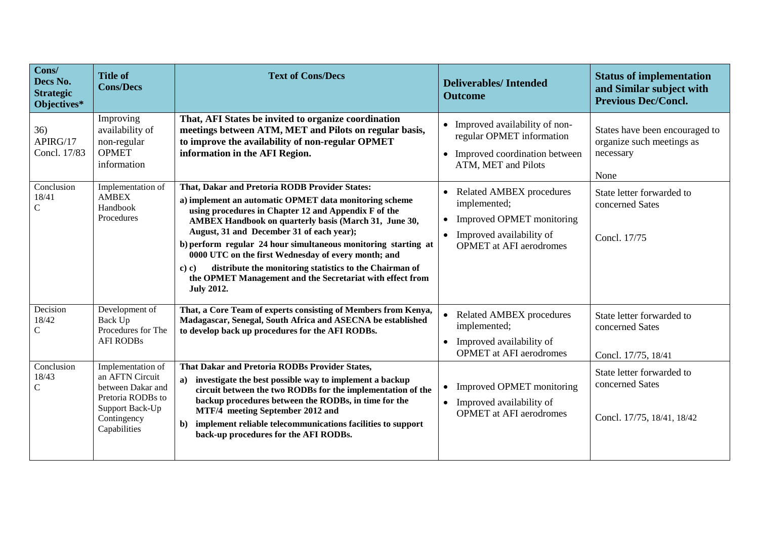| Cons/<br>Decs No.<br><b>Strategic</b><br>Objectives* | <b>Title of</b><br><b>Cons/Decs</b>                                                                                              | <b>Text of Cons/Decs</b>                                                                                                                                                                                                                                                                                                                                                                                                                                                                                                                              | <b>Deliverables/Intended</b><br><b>Outcome</b>                                                                                                                                    | <b>Status of implementation</b><br>and Similar subject with<br><b>Previous Dec/Concl.</b> |
|------------------------------------------------------|----------------------------------------------------------------------------------------------------------------------------------|-------------------------------------------------------------------------------------------------------------------------------------------------------------------------------------------------------------------------------------------------------------------------------------------------------------------------------------------------------------------------------------------------------------------------------------------------------------------------------------------------------------------------------------------------------|-----------------------------------------------------------------------------------------------------------------------------------------------------------------------------------|-------------------------------------------------------------------------------------------|
| 36)<br>APIRG/17<br>Concl. 17/83                      | Improving<br>availability of<br>non-regular<br><b>OPMET</b><br>information                                                       | That, AFI States be invited to organize coordination<br>meetings between ATM, MET and Pilots on regular basis,<br>to improve the availability of non-regular OPMET<br>information in the AFI Region.                                                                                                                                                                                                                                                                                                                                                  | • Improved availability of non-<br>regular OPMET information<br>• Improved coordination between<br>ATM, MET and Pilots                                                            | States have been encouraged to<br>organize such meetings as<br>necessary<br>None          |
| Conclusion<br>18/41<br>$\mathcal{C}$                 | Implementation of<br><b>AMBEX</b><br>Handbook<br>Procedures                                                                      | That, Dakar and Pretoria RODB Provider States:<br>a) implement an automatic OPMET data monitoring scheme<br>using procedures in Chapter 12 and Appendix F of the<br>AMBEX Handbook on quarterly basis (March 31, June 30,<br>August, 31 and December 31 of each year);<br>b) perform regular 24 hour simultaneous monitoring starting at<br>0000 UTC on the first Wednesday of every month; and<br>distribute the monitoring statistics to the Chairman of<br>c) c)<br>the OPMET Management and the Secretariat with effect from<br><b>July 2012.</b> | <b>Related AMBEX procedures</b><br>$\bullet$<br>implemented;<br>Improved OPMET monitoring<br>$\bullet$<br>Improved availability of<br>$\bullet$<br><b>OPMET</b> at AFI aerodromes | State letter forwarded to<br>concerned Sates<br>Concl. 17/75                              |
| Decision<br>18/42<br>C                               | Development of<br>Back Up<br>Procedures for The<br><b>AFI RODBs</b>                                                              | That, a Core Team of experts consisting of Members from Kenya,<br>Madagascar, Senegal, South Africa and ASECNA be established<br>to develop back up procedures for the AFI RODBs.                                                                                                                                                                                                                                                                                                                                                                     | <b>Related AMBEX procedures</b><br>$\bullet$<br>implemented;<br>Improved availability of<br>$\bullet$<br><b>OPMET</b> at AFI aerodromes                                           | State letter forwarded to<br>concerned Sates<br>Concl. 17/75, 18/41                       |
| Conclusion<br>18/43<br>$\mathbf C$                   | Implementation of<br>an AFTN Circuit<br>between Dakar and<br>Pretoria RODBs to<br>Support Back-Up<br>Contingency<br>Capabilities | That Dakar and Pretoria RODBs Provider States,<br>investigate the best possible way to implement a backup<br>a)<br>circuit between the two RODBs for the implementation of the<br>backup procedures between the RODBs, in time for the<br>MTF/4 meeting September 2012 and<br>implement reliable telecommunications facilities to support<br>$\mathbf{b}$<br>back-up procedures for the AFI RODBs.                                                                                                                                                    | Improved OPMET monitoring<br>$\bullet$<br>Improved availability of<br>$\bullet$<br><b>OPMET</b> at AFI aerodromes                                                                 | State letter forwarded to<br>concerned Sates<br>Concl. 17/75, 18/41, 18/42                |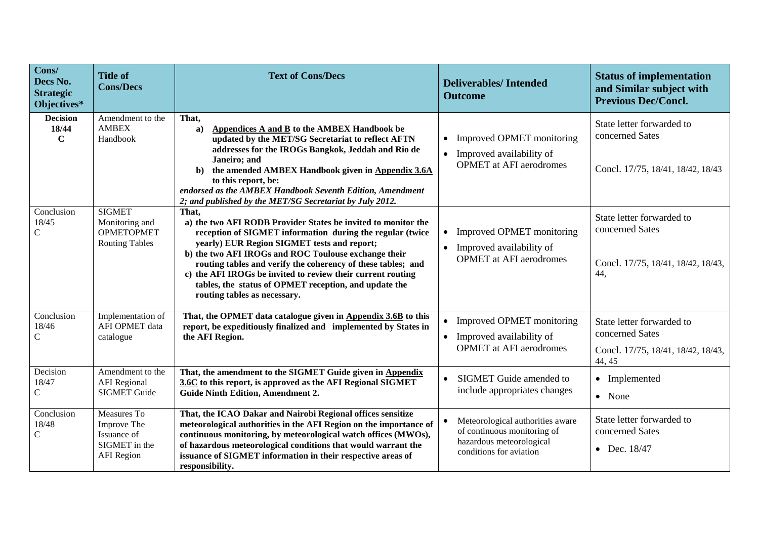| Cons/<br>Decs No.<br><b>Strategic</b><br>Objectives* | <b>Title of</b><br><b>Cons/Decs</b>                                             | <b>Text of Cons/Decs</b>                                                                                                                                                                                                                                                                                                                                                                                                                                           | <b>Deliverables/Intended</b><br><b>Outcome</b>                                                                         | <b>Status of implementation</b><br>and Similar subject with<br><b>Previous Dec/Concl.</b>    |
|------------------------------------------------------|---------------------------------------------------------------------------------|--------------------------------------------------------------------------------------------------------------------------------------------------------------------------------------------------------------------------------------------------------------------------------------------------------------------------------------------------------------------------------------------------------------------------------------------------------------------|------------------------------------------------------------------------------------------------------------------------|----------------------------------------------------------------------------------------------|
| <b>Decision</b><br>18/44<br>$\mathbf C$              | Amendment to the<br><b>AMBEX</b><br>Handbook                                    | That,<br>a)<br>Appendices A and B to the AMBEX Handbook be<br>updated by the MET/SG Secretariat to reflect AFTN<br>addresses for the IROGs Bangkok, Jeddah and Rio de<br>Janeiro; and<br>the amended AMBEX Handbook given in Appendix 3.6A<br>b)<br>to this report, be:<br>endorsed as the AMBEX Handbook Seventh Edition, Amendment<br>2; and published by the MET/SG Secretariat by July 2012.                                                                   | Improved OPMET monitoring<br>$\bullet$<br>Improved availability of<br>$\bullet$<br><b>OPMET</b> at AFI aerodromes      | State letter forwarded to<br>concerned Sates<br>Concl. 17/75, 18/41, 18/42, 18/43            |
| Conclusion<br>18/45<br>C                             | <b>SIGMET</b><br>Monitoring and<br><b>OPMETOPMET</b><br><b>Routing Tables</b>   | That,<br>a) the two AFI RODB Provider States be invited to monitor the<br>reception of SIGMET information during the regular (twice<br>yearly) EUR Region SIGMET tests and report;<br>b) the two AFI IROGs and ROC Toulouse exchange their<br>routing tables and verify the coherency of these tables; and<br>c) the AFI IROGs be invited to review their current routing<br>tables, the status of OPMET reception, and update the<br>routing tables as necessary. | Improved OPMET monitoring<br>Improved availability of<br><b>OPMET</b> at AFI aerodromes                                | State letter forwarded to<br>concerned Sates<br>Concl. 17/75, 18/41, 18/42, 18/43,<br>44,    |
| Conclusion<br>18/46<br>C                             | Implementation of<br>AFI OPMET data<br>catalogue                                | That, the OPMET data catalogue given in Appendix 3.6B to this<br>report, be expeditiously finalized and implemented by States in<br>the AFI Region.                                                                                                                                                                                                                                                                                                                | • Improved OPMET monitoring<br>• Improved availability of<br><b>OPMET</b> at AFI aerodromes                            | State letter forwarded to<br>concerned Sates<br>Concl. 17/75, 18/41, 18/42, 18/43,<br>44, 45 |
| Decision<br>18/47<br>C                               | Amendment to the<br><b>AFI</b> Regional<br><b>SIGMET Guide</b>                  | That, the amendment to the SIGMET Guide given in Appendix<br>3.6C to this report, is approved as the AFI Regional SIGMET<br><b>Guide Ninth Edition, Amendment 2.</b>                                                                                                                                                                                                                                                                                               | <b>SIGMET</b> Guide amended to<br>include appropriates changes                                                         | • Implemented<br>• None                                                                      |
| Conclusion<br>18/48<br>C                             | Measures To<br>Improve The<br>Issuance of<br>SIGMET in the<br><b>AFI</b> Region | That, the ICAO Dakar and Nairobi Regional offices sensitize<br>meteorological authorities in the AFI Region on the importance of<br>continuous monitoring, by meteorological watch offices (MWOs),<br>of hazardous meteorological conditions that would warrant the<br>issuance of SIGMET information in their respective areas of<br>responsibility.                                                                                                              | Meteorological authorities aware<br>of continuous monitoring of<br>hazardous meteorological<br>conditions for aviation | State letter forwarded to<br>concerned Sates<br>• Dec. $18/47$                               |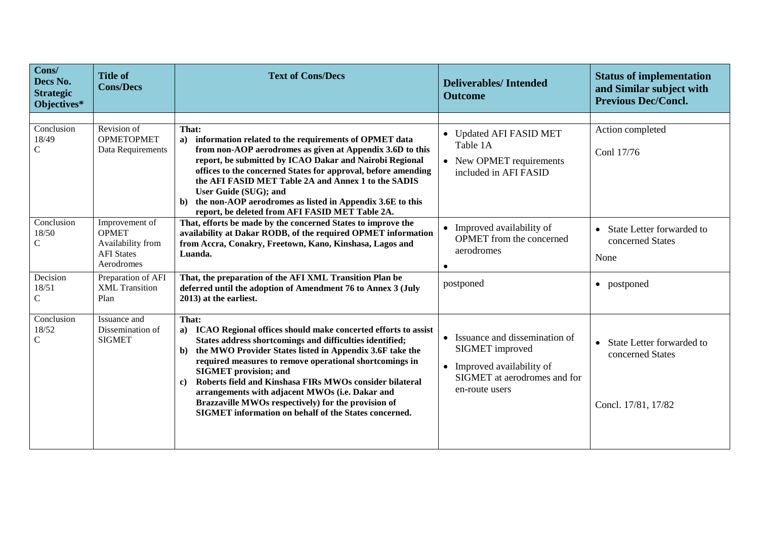| Cons/<br>Decs No.<br><b>Strategic</b><br>Objectives* | <b>Title of</b><br><b>Cons/Decs</b>                                                    | <b>Text of Cons/Decs</b>                                                                                                                                                                                                                                                                                                                                                                                                                                                                                                                                | <b>Deliverables/Intended</b><br><b>Outcome</b>                                                                                                | <b>Status of implementation</b><br>and Similar subject with<br><b>Previous Dec/Concl.</b> |
|------------------------------------------------------|----------------------------------------------------------------------------------------|---------------------------------------------------------------------------------------------------------------------------------------------------------------------------------------------------------------------------------------------------------------------------------------------------------------------------------------------------------------------------------------------------------------------------------------------------------------------------------------------------------------------------------------------------------|-----------------------------------------------------------------------------------------------------------------------------------------------|-------------------------------------------------------------------------------------------|
| Conclusion<br>18/49<br>$\mathbf C$                   | Revision of<br><b>OPMETOPMET</b><br>Data Requirements                                  | That:<br>a) information related to the requirements of OPMET data<br>from non-AOP aerodromes as given at Appendix 3.6D to this<br>report, be submitted by ICAO Dakar and Nairobi Regional<br>offices to the concerned States for approval, before amending<br>the AFI FASID MET Table 2A and Annex 1 to the SADIS<br>User Guide (SUG); and<br>the non-AOP aerodromes as listed in Appendix 3.6E to this<br>b)<br>report, be deleted from AFI FASID MET Table 2A.                                                                                        | • Updated AFI FASID MET<br>Table 1A<br>• New OPMET requirements<br>included in AFI FASID                                                      | Action completed<br>Conl 17/76                                                            |
| Conclusion<br>18/50<br>$\mathbf C$                   | Improvement of<br><b>OPMET</b><br>Availability from<br><b>AFI</b> States<br>Aerodromes | That, efforts be made by the concerned States to improve the<br>availability at Dakar RODB, of the required OPMET information<br>from Accra, Conakry, Freetown, Kano, Kinshasa, Lagos and<br>Luanda.                                                                                                                                                                                                                                                                                                                                                    | • Improved availability of<br>OPMET from the concerned<br>aerodromes<br>$\bullet$                                                             | State Letter forwarded to<br>$\bullet$<br>concerned States<br>None                        |
| Decision<br>18/51<br>$\mathbf C$                     | Preparation of AFI<br><b>XML</b> Transition<br>Plan                                    | That, the preparation of the AFI XML Transition Plan be<br>deferred until the adoption of Amendment 76 to Annex 3 (July<br>2013) at the earliest.                                                                                                                                                                                                                                                                                                                                                                                                       | postponed                                                                                                                                     | postponed<br>$\bullet$                                                                    |
| Conclusion<br>18/52<br>$\mathsf{C}$                  | Issuance and<br>Dissemination of<br><b>SIGMET</b>                                      | That:<br>a) ICAO Regional offices should make concerted efforts to assist<br>States address shortcomings and difficulties identified;<br>the MWO Provider States listed in Appendix 3.6F take the<br>b)<br>required measures to remove operational shortcomings in<br><b>SIGMET</b> provision; and<br>Roberts field and Kinshasa FIRs MWOs consider bilateral<br>$\mathbf{c}$<br>arrangements with adjacent MWOs (i.e. Dakar and<br>Brazzaville MWOs respectively) for the provision of<br><b>SIGMET</b> information on behalf of the States concerned. | Issuance and dissemination of<br>$\bullet$<br>SIGMET improved<br>• Improved availability of<br>SIGMET at aerodromes and for<br>en-route users | • State Letter forwarded to<br>concerned States<br>Concl. 17/81, 17/82                    |